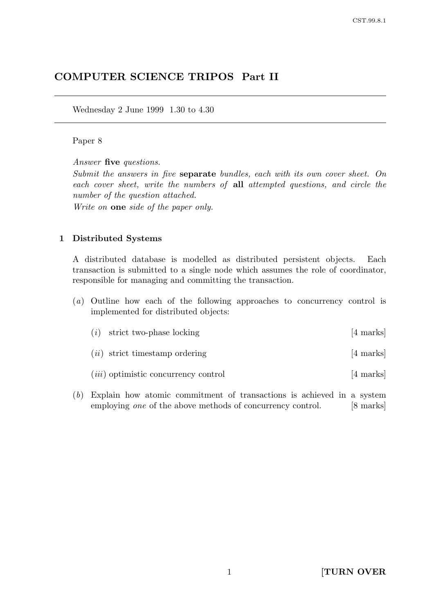# COMPUTER SCIENCE TRIPOS Part II

Wednesday 2 June 1999 1.30 to 4.30

### Paper 8

Answer five questions.

Submit the answers in five separate bundles, each with its own cover sheet. On each cover sheet, write the numbers of all attempted questions, and circle the number of the question attached.

Write on one side of the paper only.

### 1 Distributed Systems

A distributed database is modelled as distributed persistent objects. Each transaction is submitted to a single node which assumes the role of coordinator, responsible for managing and committing the transaction.

(a) Outline how each of the following approaches to concurrency control is implemented for distributed objects:

| $(i)$ strict two-phase locking   | [4 marks] |
|----------------------------------|-----------|
| $(ii)$ strict timestamp ordering | [4 marks] |

- $(iii)$  optimistic concurrency control [4 marks]
- (b) Explain how atomic commitment of transactions is achieved in a system employing one of the above methods of concurrency control. [8 marks]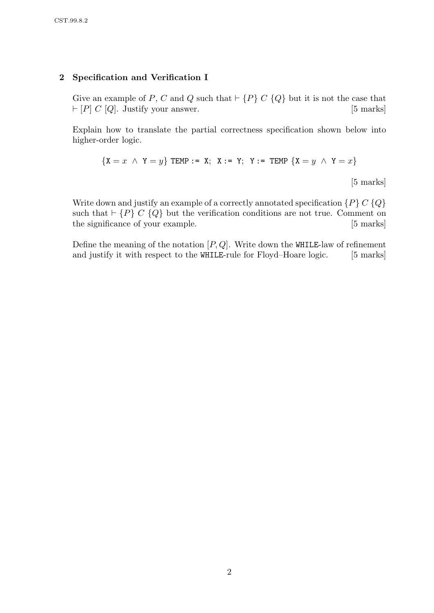### 2 Specification and Verification I

Give an example of P, C and Q such that  $\vdash \{P\} \subset \{Q\}$  but it is not the case that  $\vdash [P]$  C [Q]. Justify your answer. [5 marks]

Explain how to translate the partial correctness specification shown below into higher-order logic.

$$
\{X = x \ \land \ Y = y\} \ \text{TEMP} := X; \ \ X := Y; \ \ Y := \text{TEMP} \ \{X = y \ \land \ Y = x\}
$$

[5 marks]

Write down and justify an example of a correctly annotated specification  $\{P\} C \{Q\}$ such that  $\vdash \{P\} \ C \ \{Q\}$  but the verification conditions are not true. Comment on the significance of your example. [5 marks]

Define the meaning of the notation  $[P,Q]$ . Write down the WHILE-law of refinement and justify it with respect to the WHILE-rule for Floyd–Hoare logic. [5 marks]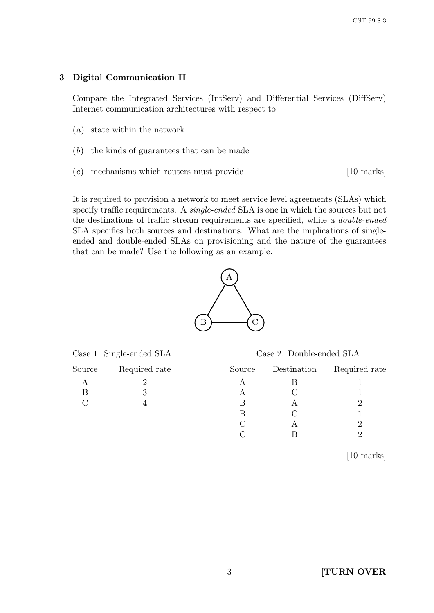### 3 Digital Communication II

Compare the Integrated Services (IntServ) and Differential Services (DiffServ) Internet communication architectures with respect to

- (a) state within the network
- (b) the kinds of guarantees that can be made
- $(c)$  mechanisms which routers must provide [10 marks]

It is required to provision a network to meet service level agreements (SLAs) which specify traffic requirements. A *single-ended* SLA is one in which the sources but not the destinations of traffic stream requirements are specified, while a double-ended SLA specifies both sources and destinations. What are the implications of singleended and double-ended SLAs on provisioning and the nature of the guarantees that can be made? Use the following as an example.



|  |  |  | Case 1: Single-ended SLA |  |
|--|--|--|--------------------------|--|
|--|--|--|--------------------------|--|

| Source | Required rate | Source | Destination | Required rate |
|--------|---------------|--------|-------------|---------------|
|        |               |        |             |               |
|        |               | A      |             |               |
|        |               | В      |             |               |
|        |               | B      |             |               |
|        |               |        |             |               |
|        |               |        |             |               |

[10 marks]

Case 2: Double-ended SLA

C B  $2$ 

| ച<br>J | <b>TURN OVER</b> |  |
|--------|------------------|--|
|        |                  |  |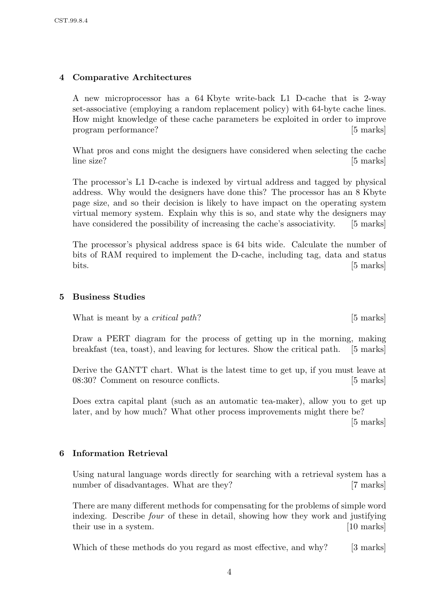# 4 Comparative Architectures

A new microprocessor has a 64 Kbyte write-back L1 D-cache that is 2-way set-associative (employing a random replacement policy) with 64-byte cache lines. How might knowledge of these cache parameters be exploited in order to improve program performance? [5 marks]

What pros and cons might the designers have considered when selecting the cache line size? [5 marks]

The processor's L1 D-cache is indexed by virtual address and tagged by physical address. Why would the designers have done this? The processor has an 8 Kbyte page size, and so their decision is likely to have impact on the operating system virtual memory system. Explain why this is so, and state why the designers may have considered the possibility of increasing the cache's associativity. [5 marks]

The processor's physical address space is 64 bits wide. Calculate the number of bits of RAM required to implement the D-cache, including tag, data and status bits. [5 marks]

### 5 Business Studies

What is meant by a *critical path*? [5 marks]

Draw a PERT diagram for the process of getting up in the morning, making breakfast (tea, toast), and leaving for lectures. Show the critical path. [5 marks]

Derive the GANTT chart. What is the latest time to get up, if you must leave at 08:30? Comment on resource conflicts. [5 marks]

Does extra capital plant (such as an automatic tea-maker), allow you to get up later, and by how much? What other process improvements might there be?

[5 marks]

# 6 Information Retrieval

Using natural language words directly for searching with a retrieval system has a number of disadvantages. What are they? [7 marks]

There are many different methods for compensating for the problems of simple word indexing. Describe four of these in detail, showing how they work and justifying their use in a system. [10 marks]

Which of these methods do you regard as most effective, and why? [3 marks]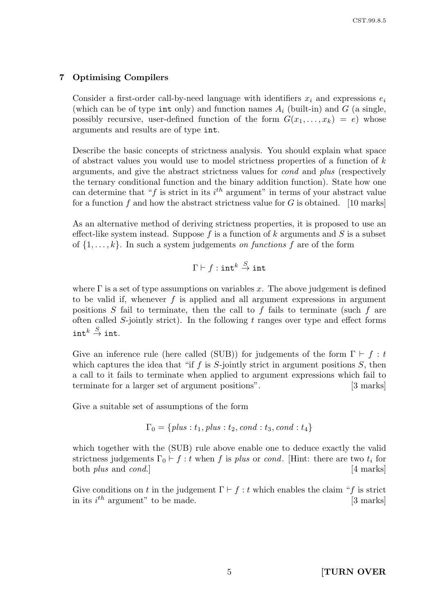# 7 Optimising Compilers

Consider a first-order call-by-need language with identifiers  $x_i$  and expressions  $e_i$ (which can be of type int only) and function names  $A_i$  (built-in) and G (a single, possibly recursive, user-defined function of the form  $G(x_1, \ldots, x_k) = e$  whose arguments and results are of type int.

Describe the basic concepts of strictness analysis. You should explain what space of abstract values you would use to model strictness properties of a function of  $k$ arguments, and give the abstract strictness values for cond and plus (respectively the ternary conditional function and the binary addition function). State how one can determine that " $f$  is strict in its  $i<sup>th</sup>$  argument" in terms of your abstract value for a function  $f$  and how the abstract strictness value for  $G$  is obtained. [10 marks]

As an alternative method of deriving strictness properties, it is proposed to use an effect-like system instead. Suppose  $f$  is a function of  $k$  arguments and  $S$  is a subset of  $\{1, \ldots, k\}$ . In such a system judgements on functions f are of the form

$$
\Gamma \vdash f : \mathtt{int}^k \overset{S}{\to} \mathtt{int}
$$

where  $\Gamma$  is a set of type assumptions on variables x. The above judgement is defined to be valid if, whenever  $f$  is applied and all argument expressions in argument positions  $S$  fail to terminate, then the call to  $f$  fails to terminate (such  $f$  are often called  $S$ -jointly strict). In the following  $t$  ranges over type and effect forms  $\texttt{int}^k \overset{S}{\rightarrow} \texttt{int}.$ 

Give an inference rule (here called (SUB)) for judgements of the form  $\Gamma \vdash f : t$ which captures the idea that "if  $f$  is  $S$ -jointly strict in argument positions  $S$ , then a call to it fails to terminate when applied to argument expressions which fail to terminate for a larger set of argument positions". [3 marks]

Give a suitable set of assumptions of the form

$$
\Gamma_0 = \{ \mathit{plus} : t_1, \mathit{plus} : t_2, \mathit{cond} : t_3, \mathit{cond} : t_4 \}
$$

which together with the (SUB) rule above enable one to deduce exactly the valid strictness judgements  $\Gamma_0 \vdash f : t$  when f is plus or cond. [Hint: there are two  $t_i$  for both *plus* and *cond*.] [4 marks]

Give conditions on t in the judgement  $\Gamma \vdash f : t$  which enables the claim "f is strict in its  $i^{th}$  argument" to be made. [3 marks]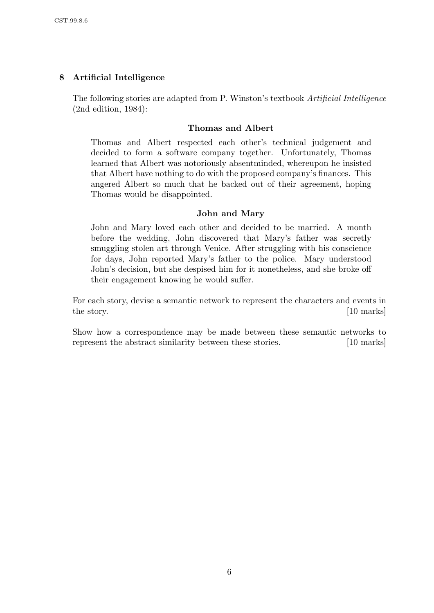# 8 Artificial Intelligence

The following stories are adapted from P. Winston's textbook Artificial Intelligence (2nd edition, 1984):

### Thomas and Albert

Thomas and Albert respected each other's technical judgement and decided to form a software company together. Unfortunately, Thomas learned that Albert was notoriously absentminded, whereupon he insisted that Albert have nothing to do with the proposed company's finances. This angered Albert so much that he backed out of their agreement, hoping Thomas would be disappointed.

# John and Mary

John and Mary loved each other and decided to be married. A month before the wedding, John discovered that Mary's father was secretly smuggling stolen art through Venice. After struggling with his conscience for days, John reported Mary's father to the police. Mary understood John's decision, but she despised him for it nonetheless, and she broke off their engagement knowing he would suffer.

For each story, devise a semantic network to represent the characters and events in the story. [10 marks]

Show how a correspondence may be made between these semantic networks to represent the abstract similarity between these stories. [10 marks]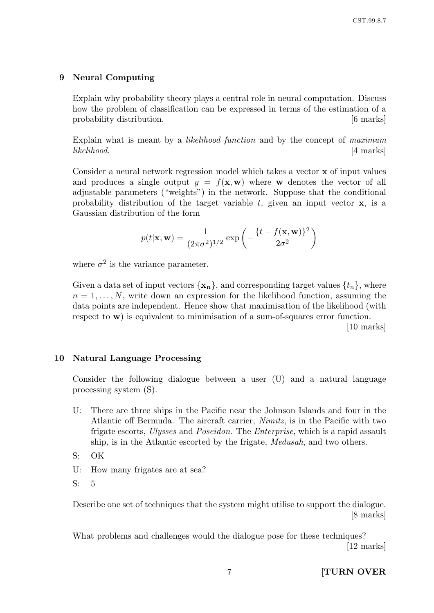#### 9 Neural Computing

Explain why probability theory plays a central role in neural computation. Discuss how the problem of classification can be expressed in terms of the estimation of a probability distribution.  $[6 \text{ marks}]$ 

Explain what is meant by a likelihood function and by the concept of maximum likelihood. [4 marks]

Consider a neural network regression model which takes a vector x of input values and produces a single output  $y = f(x, w)$  where w denotes the vector of all adjustable parameters ("weights") in the network. Suppose that the conditional probability distribution of the target variable  $t$ , given an input vector  $x$ , is a Gaussian distribution of the form

$$
p(t|\mathbf{x}, \mathbf{w}) = \frac{1}{(2\pi\sigma^2)^{1/2}} \exp\left(-\frac{\{t - f(\mathbf{x}, \mathbf{w})\}^2}{2\sigma^2}\right)
$$

where  $\sigma^2$  is the variance parameter.

Given a data set of input vectors  $\{x_n\}$ , and corresponding target values  $\{t_n\}$ , where  $n = 1, \ldots, N$ , write down an expression for the likelihood function, assuming the data points are independent. Hence show that maximisation of the likelihood (with respect to w) is equivalent to minimisation of a sum-of-squares error function.

[10 marks]

#### 10 Natural Language Processing

Consider the following dialogue between a user (U) and a natural language processing system (S).

- U: There are three ships in the Pacific near the Johnson Islands and four in the Atlantic off Bermuda. The aircraft carrier, Nimitz, is in the Pacific with two frigate escorts, Ulysses and Poseidon. The Enterprise, which is a rapid assault ship, is in the Atlantic escorted by the frigate, Medusah, and two others.
- S: OK
- U: How many frigates are at sea?
- S: 5

Describe one set of techniques that the system might utilise to support the dialogue. [8 marks]

What problems and challenges would the dialogue pose for these techniques? [12 marks]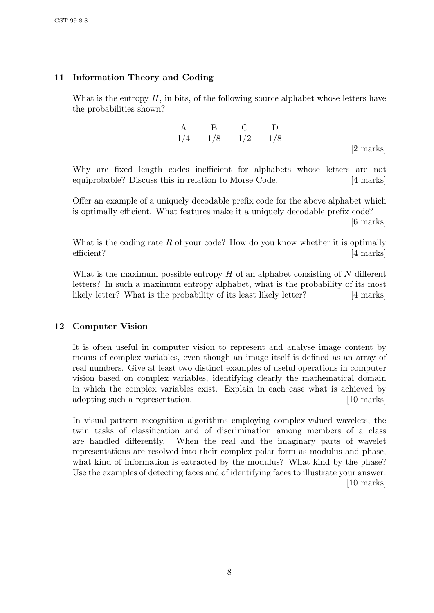# 11 Information Theory and Coding

What is the entropy  $H$ , in bits, of the following source alphabet whose letters have the probabilities shown?

A B C D 1/4 1/8 1/2 1/8

[2 marks]

Why are fixed length codes inefficient for alphabets whose letters are not equiprobable? Discuss this in relation to Morse Code. [4 marks]

Offer an example of a uniquely decodable prefix code for the above alphabet which is optimally efficient. What features make it a uniquely decodable prefix code?

[6 marks]

What is the coding rate  $R$  of your code? How do you know whether it is optimally efficient? [4 marks]

What is the maximum possible entropy  $H$  of an alphabet consisting of  $N$  different letters? In such a maximum entropy alphabet, what is the probability of its most likely letter? What is the probability of its least likely letter? [4 marks]

# 12 Computer Vision

It is often useful in computer vision to represent and analyse image content by means of complex variables, even though an image itself is defined as an array of real numbers. Give at least two distinct examples of useful operations in computer vision based on complex variables, identifying clearly the mathematical domain in which the complex variables exist. Explain in each case what is achieved by adopting such a representation. [10 marks]

In visual pattern recognition algorithms employing complex-valued wavelets, the twin tasks of classification and of discrimination among members of a class are handled differently. When the real and the imaginary parts of wavelet representations are resolved into their complex polar form as modulus and phase, what kind of information is extracted by the modulus? What kind by the phase? Use the examples of detecting faces and of identifying faces to illustrate your answer. [10 marks]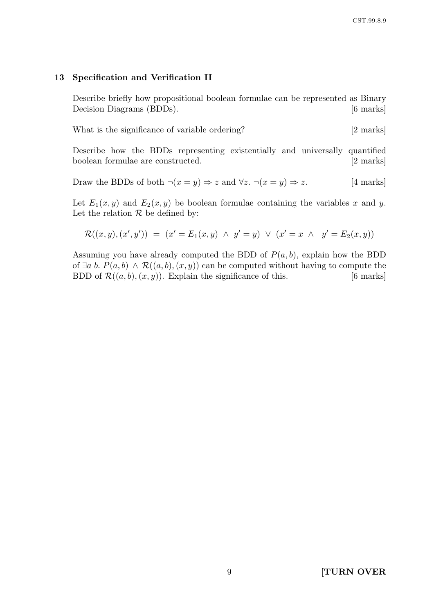#### 13 Specification and Verification II

Describe briefly how propositional boolean formulae can be represented as Binary Decision Diagrams (BDDs). [6 marks]

What is the significance of variable ordering? [2 marks]

Describe how the BDDs representing existentially and universally quantified boolean formulae are constructed. [2 marks]

Draw the BDDs of both 
$$
\neg(x = y) \Rightarrow z
$$
 and  $\forall z. \neg(x = y) \Rightarrow z$ . [4 marks]

Let  $E_1(x, y)$  and  $E_2(x, y)$  be boolean formulae containing the variables x and y. Let the relation  $R$  be defined by:

$$
\mathcal{R}((x,y),(x',y')) = (x' = E_1(x,y) \land y' = y) \lor (x' = x \land y' = E_2(x,y))
$$

Assuming you have already computed the BDD of  $P(a, b)$ , explain how the BDD of  $\exists a \ b. P(a, b) \land \mathcal{R}((a, b), (x, y))$  can be computed without having to compute the BDD of  $\mathcal{R}((a, b), (x, y))$ . Explain the significance of this. [6 marks]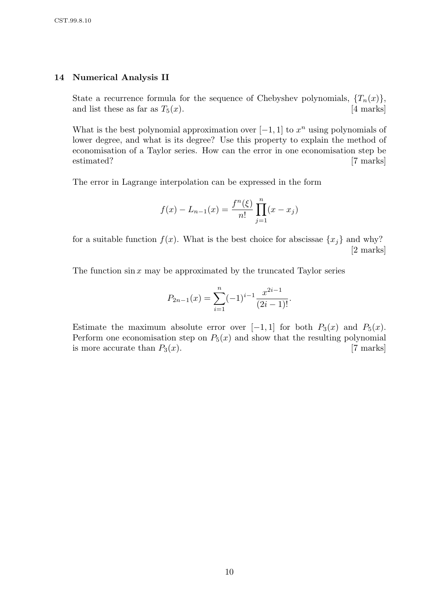#### 14 Numerical Analysis II

State a recurrence formula for the sequence of Chebyshev polynomials,  $\{T_n(x)\},\$ and list these as far as  $T_5(x)$ . [4 marks]

What is the best polynomial approximation over  $[-1, 1]$  to  $x^n$  using polynomials of lower degree, and what is its degree? Use this property to explain the method of economisation of a Taylor series. How can the error in one economisation step be estimated? [7 marks]

The error in Lagrange interpolation can be expressed in the form

$$
f(x) - L_{n-1}(x) = \frac{f^n(\xi)}{n!} \prod_{j=1}^n (x - x_j)
$$

for a suitable function  $f(x)$ . What is the best choice for abscissae  $\{x_j\}$  and why? [2 marks]

The function  $\sin x$  may be approximated by the truncated Taylor series

$$
P_{2n-1}(x) = \sum_{i=1}^{n} (-1)^{i-1} \frac{x^{2i-1}}{(2i-1)!}.
$$

Estimate the maximum absolute error over [-1, 1] for both  $P_3(x)$  and  $P_5(x)$ . Perform one economisation step on  $P_5(x)$  and show that the resulting polynomial is more accurate than  $P_3(x)$ . [7 marks]